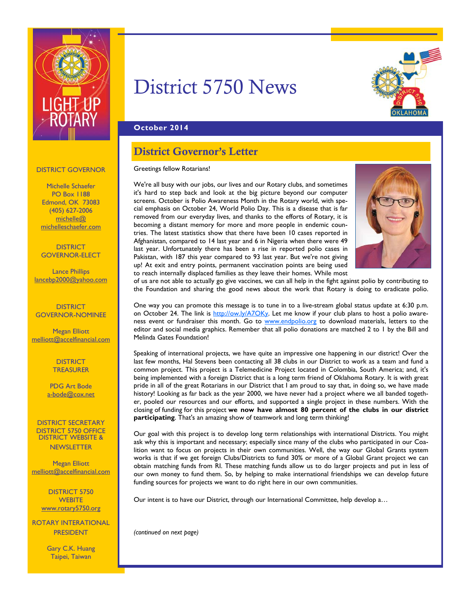

# District 5750 News



## **October 2014**

# District Governor's Letter

### Greetings fellow Rotarians!

We're all busy with our jobs, our lives and our Rotary clubs, and sometimes it's hard to step back and look at the big picture beyond our computer screens. October is Polio Awareness Month in the Rotary world, with special emphasis on October 24, World Polio Day. This is a disease that is far removed from our everyday lives, and thanks to the efforts of Rotary, it is becoming a distant memory for more and more people in endemic countries. The latest statistics show that there have been 10 cases reported in Afghanistan, compared to 14 last year and 6 in Nigeria when there were 49 last year. Unfortunately there has been a rise in reported polio cases in Pakistan, with 187 this year compared to 93 last year. But we're not giving up! At exit and entry points, permanent vaccination points are being used to reach internally displaced families as they leave their homes. While most



of us are not able to actually go give vaccines, we can all help in the fight against polio by contributing to the Foundation and sharing the good news about the work that Rotary is doing to eradicate polio.

One way you can promote this message is to tune in to a live-stream global status update at 6:30 p.m. on October 24. The link is http://ow.ly/A7OKy. Let me know if your club plans to host a polio awareness event or fundraiser this month. Go to www.endpolio.org to download materials, letters to the editor and social media graphics. Remember that all polio donations are matched 2 to 1 by the Bill and Melinda Gates Foundation!

Speaking of international projects, we have quite an impressive one happening in our district! Over the last few months, Hal Stevens been contacting all 38 clubs in our District to work as a team and fund a common project. This project is a Telemedicine Project located in Colombia, South America; and, it's being implemented with a foreign District that is a long term friend of Oklahoma Rotary. It is with great pride in all of the great Rotarians in our District that I am proud to say that, in doing so, we have made history! Looking as far back as the year 2000, we have never had a project where we all banded together, pooled our resources and our efforts, and supported a single project in these numbers. With the closing of funding for this project **we now have almost 80 percent of the clubs in our district participating**. That's an amazing show of teamwork and long term thinking!

Our goal with this project is to develop long term relationships with international Districts. You might ask why this is important and necessary; especially since many of the clubs who participated in our Coalition want to focus on projects in their own communities. Well, the way our Global Grants system works is that if we get foreign Clubs/Districts to fund 30% or more of a Global Grant project we can obtain matching funds from RI. These matching funds allow us to do larger projects and put in less of our own money to fund them. So, by helping to make international friendships we can develop future funding sources for projects we want to do right here in our own communities.

Our intent is to have our District, through our International Committee, help develop a…

*(continued on next page)* 

### DISTRICT GOVERNOR

Michelle Schaefer PO Box 1188 Edmond, OK 73083 (405) 627-2006 michelle@ michelleschaefer.com

**DISTRICT** GOVERNOR-ELECT

Lance Phillips lancebp2000@yahoo.com

**DISTRICT** GOVERNOR-NOMINEE

Megan Elliott melliott@accelfinancial.com

> **DISTRICT TREASURER**

PDG Art Bode a-bode@cox.net

DISTRICT SECRETARY DISTRICT 5750 OFFICE DISTRICT WEBSITE & **NEWSLETTER** 

Megan Elliott melliott@accelfinancial.com

DISTRICT 5750 **WEBITE** www.rotary5750.org

ROTARY INTERATIONAL PRESIDENT

> Gary C.K. Huang Taipei, Taiwan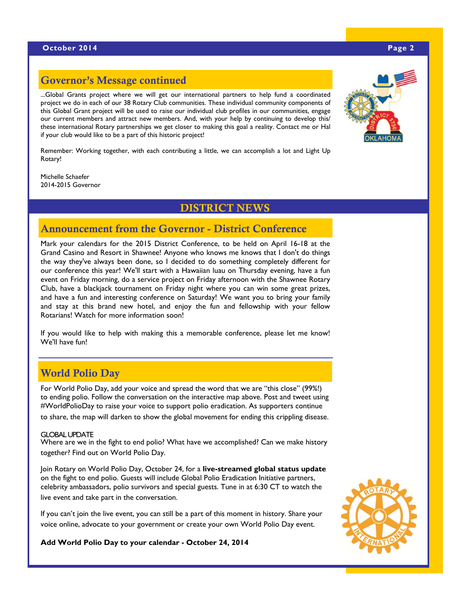### **October 2014** Page 2 **Page 2 Page 2 Page 2 Page 2 Page 2 Page 2**

# Governor's Message continued

...Global Grants project where we will get our international partners to help fund a coordinated project we do in each of our 38 Rotary Club communities. These individual community components of this Global Grant project will be used to raise our individual club profiles in our communities, engage our current members and attract new members. And, with your help by continuing to develop this/ these international Rotary partnerships we get closer to making this goal a reality. Contact me or Hal if your club would like to be a part of this historic project!

Remember: Working together, with each contributing a little, we can accomplish a lot and Light Up Rotary!

Michelle Schaefer 2014-2015 Governor

## DISTRICT NEWS

# Announcement from the Governor - District Conference

Mark your calendars for the 2015 District Conference, to be held on April 16-18 at the Grand Casino and Resort in Shawnee! Anyone who knows me knows that I don't do things the way they've always been done, so I decided to do something completely different for our conference this year! We'll start with a Hawaiian luau on Thursday evening, have a fun event on Friday morning, do a service project on Friday afternoon with the Shawnee Rotary Club, have a blackjack tournament on Friday night where you can win some great prizes, and have a fun and interesting conference on Saturday! We want you to bring your family and stay at this brand new hotel, and enjoy the fun and fellowship with your fellow Rotarians! Watch for more information soon!

If you would like to help with making this a memorable conference, please let me know! We'll have fun!

# World Polio Day

For World Polio Day, add your voice and spread the word that we are "this close" (99%!) to ending polio. Follow the conversation on the interactive map above. Post and tweet using #WorldPolioDay to raise your voice to support polio eradication. As supporters continue to share, the map will darken to show the global movement for ending this crippling disease.

### GLOBAL UPDATE

Where are we in the fight to end polio? What have we accomplished? Can we make history together? Find out on World Polio Day.

Join Rotary on World Polio Day, October 24, for a **live-streamed global status update** on the fight to end polio. Guests will include Global Polio Eradication Initiative partners, celebrity ambassadors, polio survivors and special guests. Tune in at 6:30 CT to watch the live event and take part in the conversation.

If you can't join the live event, you can still be a part of this moment in history. Share your voice online, advocate to your government or create your own World Polio Day event.

**Add World Polio Day to your calendar - October 24, 2014** 





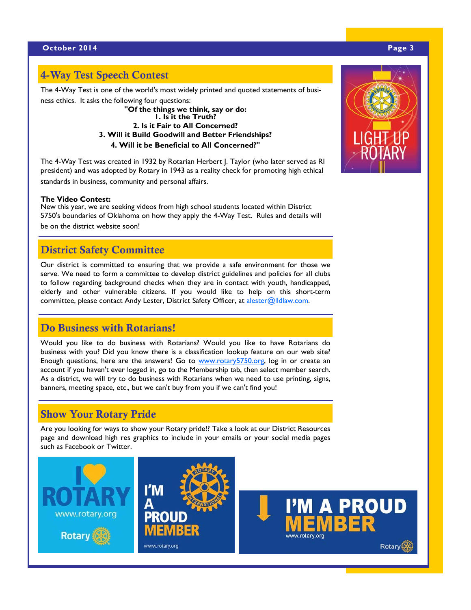# 4-Way Test Speech Contest

The 4-Way Test is one of the world's most widely printed and quoted statements of busi-

ness ethics. It asks the following four questions: **"Of the things we think, say or do: 1. Is it the Truth?** 

**2. Is it Fair to All Concerned? 3. Will it Build Goodwill and Better Friendships?** 

**4. Will it be Beneficial to All Concerned?"** 

The 4-Way Test was created in 1932 by Rotarian Herbert J. Taylor (who later served as RI president) and was adopted by Rotary in 1943 as a reality check for promoting high ethical standards in business, community and personal affairs.

### **The Video Contest:**

New this year, we are seeking videos from high school students located within District 5750's boundaries of Oklahoma on how they apply the 4-Way Test. Rules and details will be on the district website soon!

# District Safety Committee

Our district is committed to ensuring that we provide a safe environment for those we serve. We need to form a committee to develop district guidelines and policies for all clubs to follow regarding background checks when they are in contact with youth, handicapped, elderly and other vulnerable citizens. If you would like to help on this short-term committee, please contact Andy Lester, District Safety Officer, at alester@lldlaw.com.

# Do Business with Rotarians!

Would you like to do business with Rotarians? Would you like to have Rotarians do business with you? Did you know there is a classification lookup feature on our web site? Enough questions, here are the answers! Go to www.rotary5750.org, log in or create an account if you haven't ever logged in, go to the Membership tab, then select member search. As a district, we will try to do business with Rotarians when we need to use printing, signs, banners, meeting space, etc., but we can't buy from you if we can't find you!

# Show Your Rotary Pride

Are you looking for ways to show your Rotary pride!? Take a look at our District Resources page and download high res graphics to include in your emails or your social media pages such as Facebook or Twitter.



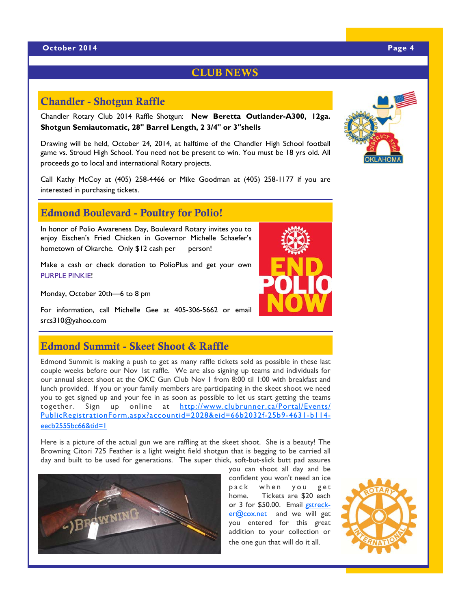# CLUB NEWS

# Chandler - Shotgun Raffle

Chandler Rotary Club 2014 Raffle Shotgun: **New Beretta Outlander-A300, 12ga. Shotgun Semiautomatic, 28" Barrel Length, 2 3/4" or 3"shells**

Drawing will be held, October 24, 2014, at halftime of the Chandler High School football game vs. Stroud High School. You need not be present to win. You must be 18 yrs old. All proceeds go to local and international Rotary projects.

Call Kathy McCoy at (405) 258-4466 or Mike Goodman at (405) 258-1177 if you are interested in purchasing tickets.

# Edmond Boulevard - Poultry for Polio!

In honor of Polio Awareness Day, Boulevard Rotary invites you to enjoy Eischen's Fried Chicken in Governor Michelle Schaefer's hometown of Okarche. Only \$12 cash per person!

Make a cash or check donation to PolioPlus and get your own PURPLE PINKIE!

Monday, October 20th—6 to 8 pm

For information, call Michelle Gee at 405-306-5662 or email srcs310@yahoo.com

# Edmond Summit - Skeet Shoot & Raffle

Edmond Summit is making a push to get as many raffle tickets sold as possible in these last couple weeks before our Nov 1st raffle. We are also signing up teams and individuals for our annual skeet shoot at the OKC Gun Club Nov 1 from 8:00 til 1:00 with breakfast and lunch provided. If you or your family members are participating in the skeet shoot we need you to get signed up and your fee in as soon as possible to let us start getting the teams together. Sign up online at http://www.clubrunner.ca/Portal/Events/ PublicRegistrationForm.aspx?accountid=2028&eid=66b2032f-25b9-4631-b114 eecb2555bc66&tid=1

Here is a picture of the actual gun we are raffling at the skeet shoot. She is a beauty! The Browning Citori 725 Feather is a light weight field shotgun that is begging to be carried all day and built to be used for generations. The super thick, soft-but-slick butt pad assures







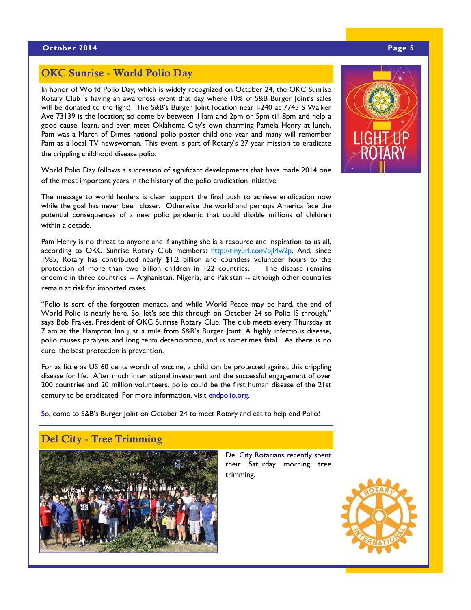# OKC Sunrise - World Polio Day

In honor of World Polio Day, which is widely recognized on October 24, the OKC Sunrise Rotary Club is having an awareness event that day where 10% of S&B Burger Joint's sales will be donated to the fight! The S&B's Burger Joint location near I-240 at 7745 S Walker Ave 73139 is the location; so come by between 11am and 2pm or 5pm till 8pm and help a good cause, learn, and even meet Oklahoma City's own charming Pamela Henry at lunch. Pam was a March of Dimes national polio poster child one year and many will remember Pam as a local TV newswoman. This event is part of Rotary's 27-year mission to eradicate the crippling childhood disease polio.

World Polio Day follows a succession of significant developments that have made 2014 one of the most important years in the history of the polio eradication initiative.

The message to world leaders is clear: support the final push to achieve eradication now while the goal has never been closer. Otherwise the world and perhaps America face the potential consequences of a new polio pandemic that could disable millions of children within a decade.

Pam Henry is no threat to anyone and if anything she is a resource and inspiration to us all, according to OKC Sunrise Rotary Club members: http://tinyurl.com/pjf4w2p. And, since 1985, Rotary has contributed nearly \$1.2 billion and countless volunteer hours to the protection of more than two billion children in 122 countries. The disease remains endemic in three countries -- Afghanistan, Nigeria, and Pakistan -- although other countries remain at risk for imported cases.

"Polio is sort of the forgotten menace, and while World Peace may be hard, the end of World Polio is nearly here. So, let's see this through on October 24 so Polio IS through," says Bob Frakes, President of OKC Sunrise Rotary Club. The club meets every Thursday at 7 am at the Hampton Inn just a mile from S&B's Burger Joint. A highly infectious disease, polio causes paralysis and long term deterioration, and is sometimes fatal. As there is no cure, the best protection is prevention.

For as little as US 60 cents worth of vaccine, a child can be protected against this crippling disease for life. After much international investment and the successful engagement of over 200 countries and 20 million volunteers, polio could be the first human disease of the 21st century to be eradicated. For more information, visit endpolio.org.

So, come to S&B's Burger Joint on October 24 to meet Rotary and eat to help end Polio!

# Del City - Tree Trimming



Del City Rotarians recently spent their Saturday morning tree trimming.



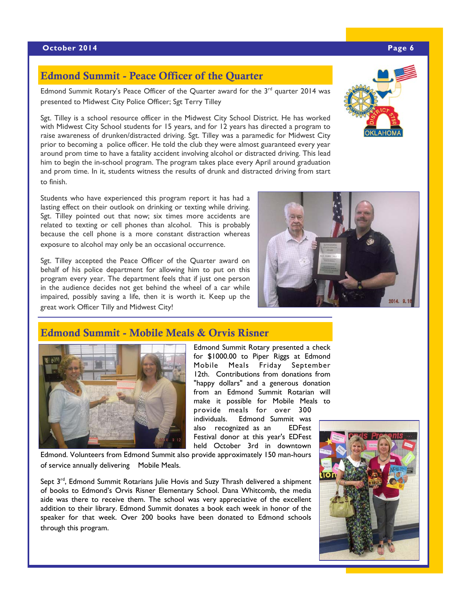# Edmond Summit - Peace Officer of the Quarter

Edmond Summit Rotary's Peace Officer of the Quarter award for the  $3<sup>rd</sup>$  quarter 2014 was presented to Midwest City Police Officer; Sgt Terry Tilley

Sgt. Tilley is a school resource officer in the Midwest City School District. He has worked with Midwest City School students for 15 years, and for 12 years has directed a program to raise awareness of drunken/distracted driving. Sgt. Tilley was a paramedic for Midwest City prior to becoming a police officer. He told the club they were almost guaranteed every year around prom time to have a fatality accident involving alcohol or distracted driving. This lead him to begin the in-school program. The program takes place every April around graduation and prom time. In it, students witness the results of drunk and distracted driving from start to finish.

Students who have experienced this program report it has had a lasting effect on their outlook on drinking or texting while driving. Sgt. Tilley pointed out that now; six times more accidents are related to texting or cell phones than alcohol. This is probably because the cell phone is a more constant distraction whereas exposure to alcohol may only be an occasional occurrence.

Sgt. Tilley accepted the Peace Officer of the Quarter award on behalf of his police department for allowing him to put on this program every year. The department feels that if just one person in the audience decides not get behind the wheel of a car while impaired, possibly saving a life, then it is worth it. Keep up the great work Officer Tilly and Midwest City!

Edmond Summit - Mobile Meals & Orvis Risner

# Edmond Summit Rotary presented a check

for \$1000.00 to Piper Riggs at Edmond Mobile Meals Friday September 12th. Contributions from donations from "happy dollars" and a generous donation from an Edmond Summit Rotarian will make it possible for Mobile Meals to provide meals for over 300 individuals. Edmond Summit was also recognized as an EDFest Festival donor at this year's EDFest

held October 3rd in downtown

Edmond. Volunteers from Edmond Summit also provide approximately 150 man-hours of service annually delivering Mobile Meals.

Sept 3<sup>rd</sup>, Edmond Summit Rotarians Julie Hovis and Suzy Thrash delivered a shipment of books to Edmond's Orvis Risner Elementary School. Dana Whitcomb, the media aide was there to receive them. The school was very appreciative of the excellent addition to their library. Edmond Summit donates a book each week in honor of the speaker for that week. Over 200 books have been donated to Edmond schools through this program.







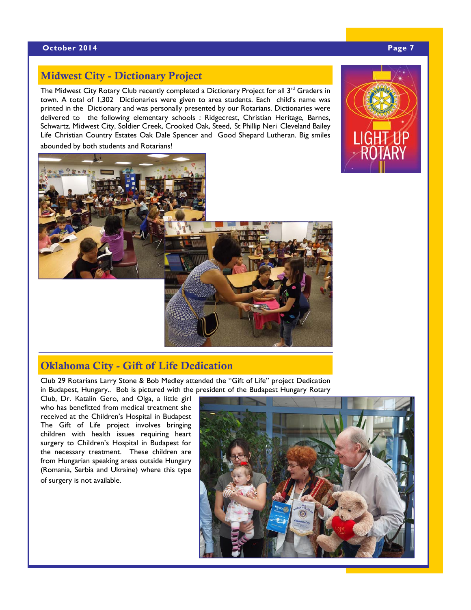### **October 2014** Page 7

# Midwest City - Dictionary Project

The Midwest City Rotary Club recently completed a Dictionary Project for all  $3<sup>rd</sup>$  Graders in town. A total of 1,302 Dictionaries were given to area students. Each child's name was printed in the Dictionary and was personally presented by our Rotarians. Dictionaries were delivered to the following elementary schools : Ridgecrest, Christian Heritage, Barnes, Schwartz, Midwest City, Soldier Creek, Crooked Oak, Steed, St Phillip Neri Cleveland Bailey Life Christian Country Estates Oak Dale Spencer and Good Shepard Lutheran. Big smiles abounded by both students and Rotarians!





# Oklahoma City - Gift of Life Dedication

Club 29 Rotarians Larry Stone & Bob Medley attended the "Gift of Life" project Dedication in Budapest, Hungary.. Bob is pictured with the president of the Budapest Hungary Rotary

Club, Dr. Katalin Gero, and Olga, a little girl who has benefitted from medical treatment she received at the Children's Hospital in Budapest The Gift of Life project involves bringing children with health issues requiring heart surgery to Children's Hospital in Budapest for the necessary treatment. These children are from Hungarian speaking areas outside Hungary (Romania, Serbia and Ukraine) where this type of surgery is not available.

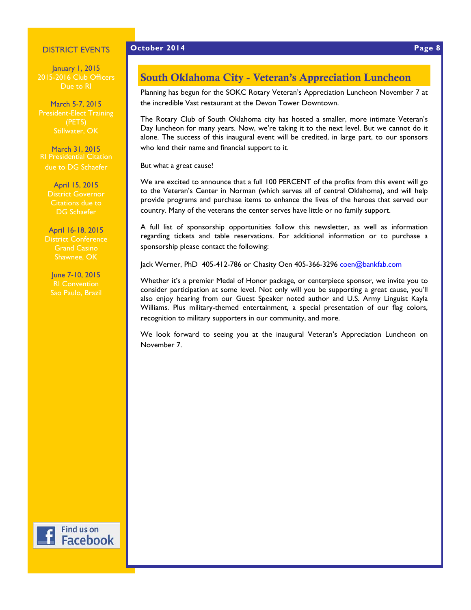### DISTRICT EVENTS

January 1, 2015 2015-2016 Club Officers Due to RI

March 5-7, 2015

March 31, 2015 RI Presidential Citation due to DG Schaefer

> April 15, 2015 Citations due to DG Schaefer

April 16-18, 2015 District Conference Grand Casino Shawnee, OK

June 7-10, 2015 Sao Paulo, Brazil

# South Oklahoma City - Veteran's Appreciation Luncheon

Planning has begun for the SOKC Rotary Veteran's Appreciation Luncheon November 7 at the incredible Vast restaurant at the Devon Tower Downtown.

The Rotary Club of South Oklahoma city has hosted a smaller, more intimate Veteran's Day luncheon for many years. Now, we're taking it to the next level. But we cannot do it alone. The success of this inaugural event will be credited, in large part, to our sponsors who lend their name and financial support to it.

But what a great cause!

We are excited to announce that a full 100 PERCENT of the profits from this event will go to the Veteran's Center in Norman (which serves all of central Oklahoma), and will help provide programs and purchase items to enhance the lives of the heroes that served our country. Many of the veterans the center serves have little or no family support.

A full list of sponsorship opportunities follow this newsletter, as well as information regarding tickets and table reservations. For additional information or to purchase a sponsorship please contact the following:

Jack Werner, PhD 405-412-786 or Chasity Oen 405-366-3296 coen@bankfab.com

Whether it's a premier Medal of Honor package, or centerpiece sponsor, we invite you to consider participation at some level. Not only will you be supporting a great cause, you'll also enjoy hearing from our Guest Speaker noted author and U.S. Army Linguist Kayla Williams. Plus military-themed entertainment, a special presentation of our flag colors, recognition to military supporters in our community, and more.

We look forward to seeing you at the inaugural Veteran's Appreciation Luncheon on November 7.